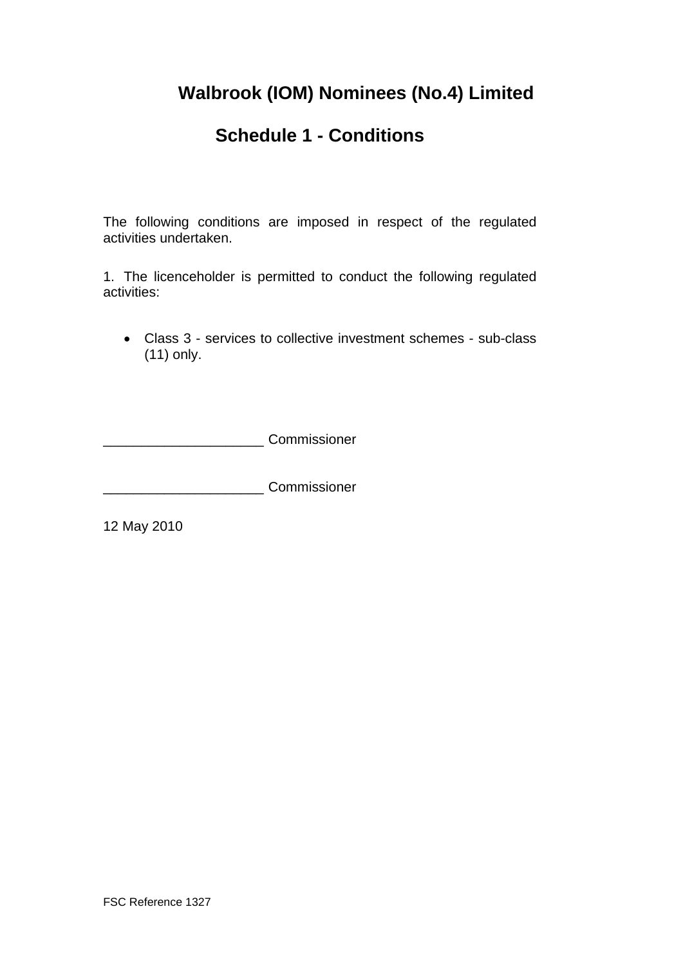# **Walbrook (IOM) Nominees (No.4) Limited**

## **Schedule 1 - Conditions**

The following conditions are imposed in respect of the regulated activities undertaken.

1. The licenceholder is permitted to conduct the following regulated activities:

• Class 3 - services to collective investment schemes - sub-class (11) only.

\_\_\_\_\_\_\_\_\_\_\_\_\_\_\_\_\_\_\_\_\_ Commissioner

\_\_\_\_\_\_\_\_\_\_\_\_\_\_\_\_\_\_\_\_\_ Commissioner

12 May 2010